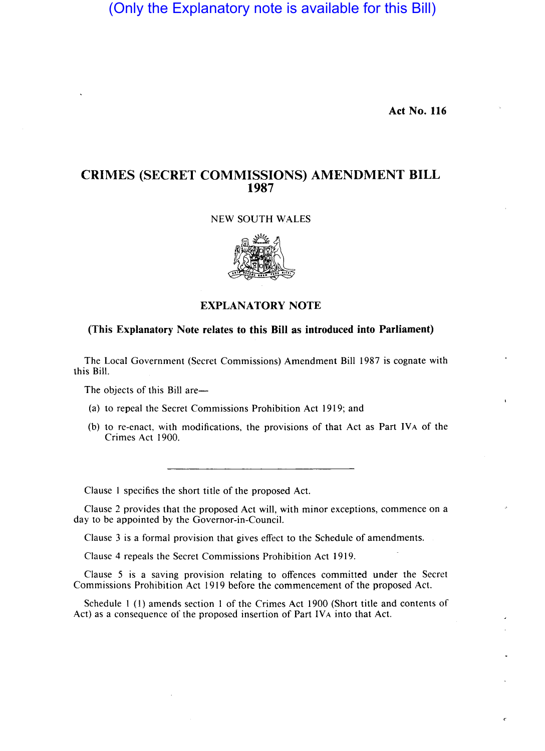(Only the Explanatory note is available for this Bill)

**Act No. 116** 

## **CRIMES (SECRET COMMISSIONS) AMENDMENT BILL 1987**

## NEW SOUTH WALES



## **EXPLANATORY NOTE**

## **(This Explanatory Note relates to this Bill as introduced into Parliament)**

The Local Government (Secret Commissions) Amendment Bill 1987 is cognate with this Bill.

The objects of this Bill are-

- (a) to repeal the Secret Commissions Prohibition Act 1919; and
- (b) to re-enact, with modifications, the provisions of that Act as Part IVA of the Crimes Act 1900.

Clause I specifies the short title of the proposed Act.

Clause 2 provides that the proposed Act will, with minor exceptions, commence on a day to be appointed by the Governor-in-Council.

Clause 3 is a formal provision that gives effect to the Schedule of amendments.

Clause 4 repeals the Secret Commissions Prohibition Act 1919.

Clause 5 is a saving provision relating to offences committed under the Secret Commissions Prohibition Act 1919 before the commencement of the proposed Act.

Schedule 1 (I) amends section 1 of the Crimes Act 1900 (Short title and contents of Act) as a consequence of the proposed insertion of Part IVA into that Act.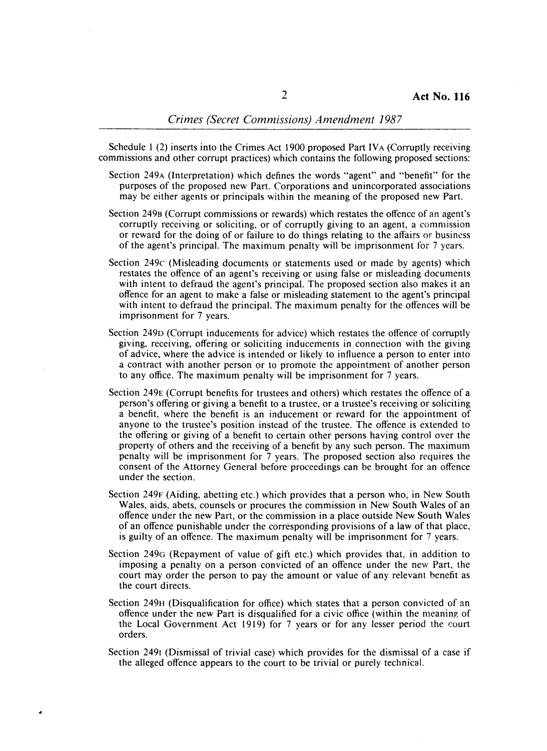Schedule 1 (2) inserts into the Crimes Act 1900 proposed Part IVA (Corruptly receiving commissions and other corrupt practices) which contains the following proposed sections:

- Section 249A (Interpretation) which defines the words "agent" and "benefit" for the purposes of the proposed new Part. Corporations and unincorporated associations may be either agents or principals within the meaning of the proposed new Part.
- Section 2498 (Corrupt commissions or rewards) which restates the offence of an agent's corruptly receiving or soliciting, or of corruptly giving to an agent, a commission or reward for the doing of or failure to do things relating to the affairs or business of the agent's principal. The maximum penalty will be imprisonment for 7 years.
- Section 249c (Misleading documents or statements used or made by agents) which restates the offence of an agent's receiving or using false or misleading documents with intent to defraud the agent's principal. The proposed section also makes it an offence for an agent to make a false or misleading statement to the agent's principal with intent to defraud the principal. The maximum penalty for the offences will be imprisonment for 7 years.
- Section 249D (Corrupt inducements for advice) which restates the offence of corruptly giving, receiving, offering or soliciting inducements in connection with the giving of advice, where the advice is intended or likely to influence a person to enter into a contract with another person or to promote the appointment of another person to any office. The maximum penalty will be imprisonment for 7 years.
- Section 249E (Corrupt benefits for trustees and others) which restates the offence of a person's offering or giving a benefit to a trustee, or a trustee's receiving or soliciting a benefit, where the benefit is an inducement or reward for the appointment of anyone to the trustee's position instead of the trustee. The offence is extended to the offering or giving of a benefit to certain other persons having control over the property of others and the receiving of a benefit by any such person. The maximum penalty will be imprisonment for 7 years. The proposed section also requires the consent of the Attorney General before proceedings can be brought for an offence under the section.
- Section 249F (Aiding, abetting etc.) which provides that a person who, in New South Wales, aids, abets, counsels or procures the commission in New South Wales of an offence under the new Part, or the commission in a place outside New South Wales of an offence punishable under the corresponding provisions of a law of that place, is guilty of an offence. The maximum penalty will be imprisonment for 7 years.
- Section 249G (Repayment of value of gift etc.) which provides that, in addition to imposing a penalty on a person convicted of an offence under the new Part, the court may order the person to pay the amount or value of any relevant benefit as the court directs.
- Section 249H (Disqualification for office) which states that a person convicted of an offence under the new Part is disqualified for a civic office (within the meaning of the Local Government Act 1919) for 7 years or for any lesser period the court orders.
- Section 2491 (Dismissal of trivial case) which provides for the dismissal of a case if the alleged offence appears to the court to be trivial or purely technical.